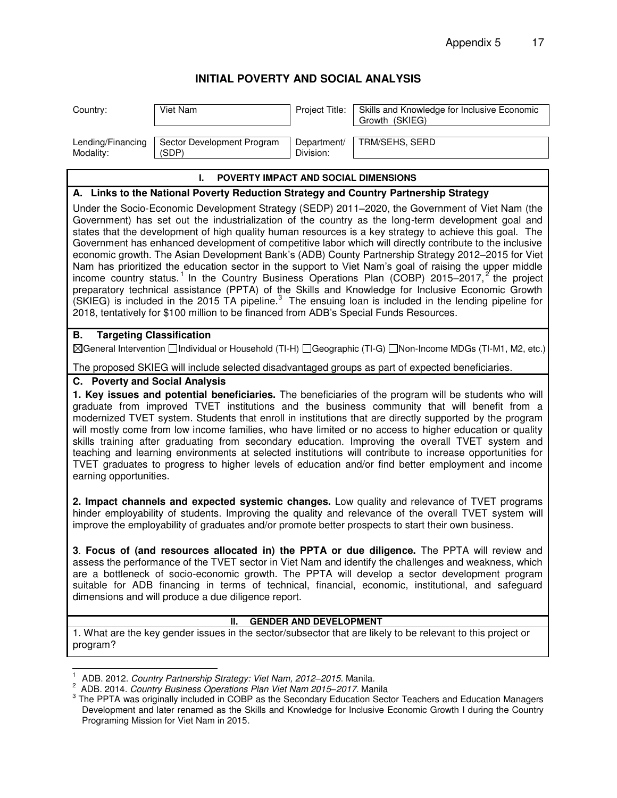## **INITIAL POVERTY AND SOCIAL ANALYSIS**

| Country:                                                                                                                                                                                                                                                                                                                                                                                                                                                                                                                                                                                                                                                                                                                                                                                                                                                                                                                                                                                                                                                                                    | Viet Nam                            | Project Title:           | Skills and Knowledge for Inclusive Economic<br>Growth (SKIEG) |  |
|---------------------------------------------------------------------------------------------------------------------------------------------------------------------------------------------------------------------------------------------------------------------------------------------------------------------------------------------------------------------------------------------------------------------------------------------------------------------------------------------------------------------------------------------------------------------------------------------------------------------------------------------------------------------------------------------------------------------------------------------------------------------------------------------------------------------------------------------------------------------------------------------------------------------------------------------------------------------------------------------------------------------------------------------------------------------------------------------|-------------------------------------|--------------------------|---------------------------------------------------------------|--|
| Lending/Financing<br>Modality:                                                                                                                                                                                                                                                                                                                                                                                                                                                                                                                                                                                                                                                                                                                                                                                                                                                                                                                                                                                                                                                              | Sector Development Program<br>'SDP) | Department/<br>Division: | TRM/SEHS, SERD                                                |  |
| <b>POVERTY IMPACT AND SOCIAL DIMENSIONS</b><br>L.                                                                                                                                                                                                                                                                                                                                                                                                                                                                                                                                                                                                                                                                                                                                                                                                                                                                                                                                                                                                                                           |                                     |                          |                                                               |  |
| A. Links to the National Poverty Reduction Strategy and Country Partnership Strategy                                                                                                                                                                                                                                                                                                                                                                                                                                                                                                                                                                                                                                                                                                                                                                                                                                                                                                                                                                                                        |                                     |                          |                                                               |  |
| Under the Socio-Economic Development Strategy (SEDP) 2011–2020, the Government of Viet Nam (the<br>Government) has set out the industrialization of the country as the long-term development goal and<br>states that the development of high quality human resources is a key strategy to achieve this goal. The<br>Government has enhanced development of competitive labor which will directly contribute to the inclusive<br>economic growth. The Asian Development Bank's (ADB) County Partnership Strategy 2012-2015 for Viet<br>Nam has prioritized the education sector in the support to Viet Nam's goal of raising the upper middle<br>income country status. <sup>1</sup> In the Country Business Operations Plan (COBP) 2015-2017, <sup>2</sup> the project<br>preparatory technical assistance (PPTA) of the Skills and Knowledge for Inclusive Economic Growth<br>(SKIEG) is included in the 2015 TA pipeline. <sup>3</sup> The ensuing loan is included in the lending pipeline for<br>2018, tentatively for \$100 million to be financed from ADB's Special Funds Resources. |                                     |                          |                                                               |  |
| В.                                                                                                                                                                                                                                                                                                                                                                                                                                                                                                                                                                                                                                                                                                                                                                                                                                                                                                                                                                                                                                                                                          | <b>Targeting Classification</b>     |                          |                                                               |  |

## General Intervention Individual or Household (TI-H) Geographic (TI-G) Non-Income MDGs (TI-M1, M2, etc.)

The proposed SKIEG will include selected disadvantaged groups as part of expected beneficiaries.

## **C. Poverty and Social Analysis**

**1. Key issues and potential beneficiaries.** The beneficiaries of the program will be students who will graduate from improved TVET institutions and the business community that will benefit from a modernized TVET system. Students that enroll in institutions that are directly supported by the program will mostly come from low income families, who have limited or no access to higher education or quality skills training after graduating from secondary education. Improving the overall TVET system and teaching and learning environments at selected institutions will contribute to increase opportunities for TVET graduates to progress to higher levels of education and/or find better employment and income earning opportunities.

**2. Impact channels and expected systemic changes.** Low quality and relevance of TVET programs hinder employability of students. Improving the quality and relevance of the overall TVET system will improve the employability of graduates and/or promote better prospects to start their own business.

**3**. **Focus of (and resources allocated in) the PPTA or due diligence.** The PPTA will review and assess the performance of the TVET sector in Viet Nam and identify the challenges and weakness, which are a bottleneck of socio-economic growth. The PPTA will develop a sector development program suitable for ADB financing in terms of technical, financial, economic, institutional, and safeguard dimensions and will produce a due diligence report.

## **II. GENDER AND DEVELOPMENT**

1. What are the key gender issues in the sector/subsector that are likely to be relevant to this project or program?

 $\overline{a}$ 1 ADB. 2012. *Country Partnership Strategy: Viet Nam, 2012–2015*. Manila.

<sup>2</sup> ADB. 2014. *Country Business Operations Plan Viet Nam 2015–2017.* Manila

<sup>&</sup>lt;sup>3</sup> The PPTA was originally included in COBP as the Secondary Education Sector Teachers and Education Managers Development and later renamed as the Skills and Knowledge for Inclusive Economic Growth I during the Country Programing Mission for Viet Nam in 2015.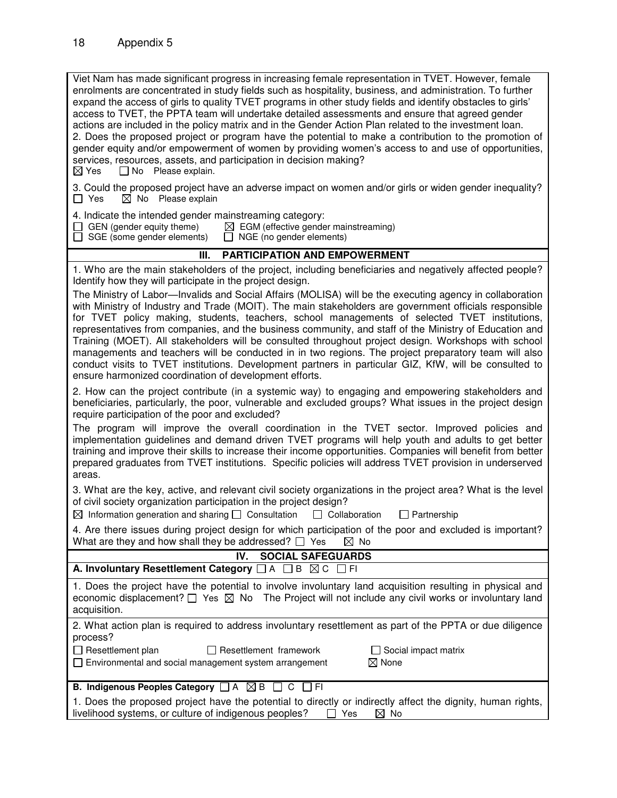| Viet Nam has made significant progress in increasing female representation in TVET. However, female<br>enrolments are concentrated in study fields such as hospitality, business, and administration. To further<br>expand the access of girls to quality TVET programs in other study fields and identify obstacles to girls'<br>access to TVET, the PPTA team will undertake detailed assessments and ensure that agreed gender<br>actions are included in the policy matrix and in the Gender Action Plan related to the investment loan.<br>2. Does the proposed project or program have the potential to make a contribution to the promotion of<br>gender equity and/or empowerment of women by providing women's access to and use of opportunities,<br>services, resources, assets, and participation in decision making?<br>$\boxtimes$ Yes<br>$\Box$ No Please explain. |  |  |  |
|-----------------------------------------------------------------------------------------------------------------------------------------------------------------------------------------------------------------------------------------------------------------------------------------------------------------------------------------------------------------------------------------------------------------------------------------------------------------------------------------------------------------------------------------------------------------------------------------------------------------------------------------------------------------------------------------------------------------------------------------------------------------------------------------------------------------------------------------------------------------------------------|--|--|--|
| 3. Could the proposed project have an adverse impact on women and/or girls or widen gender inequality?<br>$\boxtimes$ No Please explain<br>$\Box$ Yes                                                                                                                                                                                                                                                                                                                                                                                                                                                                                                                                                                                                                                                                                                                             |  |  |  |
| 4. Indicate the intended gender mainstreaming category:<br>$\Box$ GEN (gender equity theme)<br>$\boxtimes$ EGM (effective gender mainstreaming)<br>$\Box$ SGE (some gender elements)<br>$\Box$ NGE (no gender elements)                                                                                                                                                                                                                                                                                                                                                                                                                                                                                                                                                                                                                                                           |  |  |  |
| <b>PARTICIPATION AND EMPOWERMENT</b><br>Ш.                                                                                                                                                                                                                                                                                                                                                                                                                                                                                                                                                                                                                                                                                                                                                                                                                                        |  |  |  |
| 1. Who are the main stakeholders of the project, including beneficiaries and negatively affected people?<br>Identify how they will participate in the project design.                                                                                                                                                                                                                                                                                                                                                                                                                                                                                                                                                                                                                                                                                                             |  |  |  |
| The Ministry of Labor—Invalids and Social Affairs (MOLISA) will be the executing agency in collaboration<br>with Ministry of Industry and Trade (MOIT). The main stakeholders are government officials responsible<br>for TVET policy making, students, teachers, school managements of selected TVET institutions,<br>representatives from companies, and the business community, and staff of the Ministry of Education and<br>Training (MOET). All stakeholders will be consulted throughout project design. Workshops with school<br>managements and teachers will be conducted in in two regions. The project preparatory team will also<br>conduct visits to TVET institutions. Development partners in particular GIZ, KfW, will be consulted to<br>ensure harmonized coordination of development efforts.                                                                 |  |  |  |
| 2. How can the project contribute (in a systemic way) to engaging and empowering stakeholders and<br>beneficiaries, particularly, the poor, vulnerable and excluded groups? What issues in the project design<br>require participation of the poor and excluded?                                                                                                                                                                                                                                                                                                                                                                                                                                                                                                                                                                                                                  |  |  |  |
| The program will improve the overall coordination in the TVET sector. Improved policies and<br>implementation guidelines and demand driven TVET programs will help youth and adults to get better<br>training and improve their skills to increase their income opportunities. Companies will benefit from better<br>prepared graduates from TVET institutions. Specific policies will address TVET provision in underserved<br>areas.                                                                                                                                                                                                                                                                                                                                                                                                                                            |  |  |  |
| 3. What are the key, active, and relevant civil society organizations in the project area? What is the level<br>of civil society organization participation in the project design?<br>$\boxtimes$ Information generation and sharing $\Box$ Consultation<br>$\Box$ Collaboration<br>$\Box$ Partnership                                                                                                                                                                                                                                                                                                                                                                                                                                                                                                                                                                            |  |  |  |
| 4. Are there issues during project design for which participation of the poor and excluded is important?<br>What are they and how shall they be addressed? $\Box$ Yes<br>$\boxtimes$ No                                                                                                                                                                                                                                                                                                                                                                                                                                                                                                                                                                                                                                                                                           |  |  |  |
| IV.<br><b>SOCIAL SAFEGUARDS</b>                                                                                                                                                                                                                                                                                                                                                                                                                                                                                                                                                                                                                                                                                                                                                                                                                                                   |  |  |  |
| A. Involuntary Resettlement Category $\Box A \Box B \boxtimes C$<br>$\Box$ FI                                                                                                                                                                                                                                                                                                                                                                                                                                                                                                                                                                                                                                                                                                                                                                                                     |  |  |  |
| 1. Does the project have the potential to involve involuntary land acquisition resulting in physical and<br>economic displacement? $\Box$ Yes $\boxtimes$ No The Project will not include any civil works or involuntary land<br>acquisition.                                                                                                                                                                                                                                                                                                                                                                                                                                                                                                                                                                                                                                     |  |  |  |
| 2. What action plan is required to address involuntary resettlement as part of the PPTA or due diligence                                                                                                                                                                                                                                                                                                                                                                                                                                                                                                                                                                                                                                                                                                                                                                          |  |  |  |
| process?                                                                                                                                                                                                                                                                                                                                                                                                                                                                                                                                                                                                                                                                                                                                                                                                                                                                          |  |  |  |
| Resettlement plan<br>$\Box$ Resettlement framework<br>$\Box$ Social impact matrix<br>$\boxtimes$ None<br>□ Environmental and social management system arrangement                                                                                                                                                                                                                                                                                                                                                                                                                                                                                                                                                                                                                                                                                                                 |  |  |  |
| B. Indigenous Peoples Category $\Box A \boxtimes B$<br>LI CILIFI                                                                                                                                                                                                                                                                                                                                                                                                                                                                                                                                                                                                                                                                                                                                                                                                                  |  |  |  |
| 1. Does the proposed project have the potential to directly or indirectly affect the dignity, human rights,<br>livelihood systems, or culture of indigenous peoples?<br>$\boxtimes$ No<br>$\mathsf{L}$<br>Yes                                                                                                                                                                                                                                                                                                                                                                                                                                                                                                                                                                                                                                                                     |  |  |  |